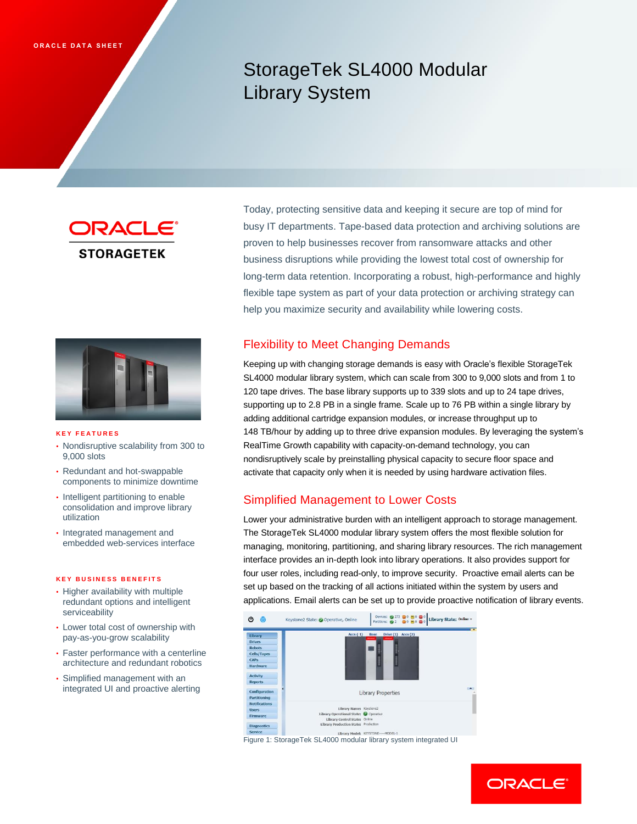# StorageTek SL4000 Modular Library System

ORACLE **STORAGETEK** 



### **K E Y F E A T U R E S**

- Nondisruptive scalability from 300 to 9,000 slots
- Redundant and hot-swappable components to minimize downtime
- Intelligent partitioning to enable consolidation and improve library utilization
- Integrated management and embedded web-services interface

#### **K E Y B U S I N E S S B E N E F I T S**

- Higher availability with multiple redundant options and intelligent serviceability
- Lower total cost of ownership with pay-as-you-grow scalability
- Faster performance with a centerline architecture and redundant robotics
- Simplified management with an integrated UI and proactive alerting

Today, protecting sensitive data and keeping it secure are top of mind for busy IT departments. Tape-based data protection and archiving solutions are proven to help businesses recover from ransomware attacks and other business disruptions while providing the lowest total cost of ownership for long-term data retention. Incorporating a robust, high-performance and highly flexible tape system as part of your data protection or archiving strategy can help you maximize security and availability while lowering costs.

# Flexibility to Meet Changing Demands

Keeping up with changing storage demands is easy with Oracle's flexible StorageTek SL4000 modular library system, which can scale from 300 to 9,000 slots and from 1 to 120 tape drives. The base library supports up to 339 slots and up to 24 tape drives, supporting up to 2.8 PB in a single frame. Scale up to 76 PB within a single library by adding additional cartridge expansion modules, or increase throughput up to 148 TB/hour by adding up to three drive expansion modules. By leveraging the system's RealTime Growth capability with capacity-on-demand technology, you can nondisruptively scale by preinstalling physical capacity to secure floor space and activate that capacity only when it is needed by using hardware activation files.

## Simplified Management to Lower Costs

Lower your administrative burden with an intelligent approach to storage management. The StorageTek SL4000 modular library system offers the most flexible solution for managing, monitoring, partitioning, and sharing library resources. The rich management interface provides an in-depth look into library operations. It also provides support for four user roles, including read-only, to improve security. Proactive email alerts can be set up based on the tracking of all actions initiated within the system by users and applications. Email alerts can be set up to provide proactive notification of library events.



Figure 1: StorageTek SL4000 modular library system integrated UI

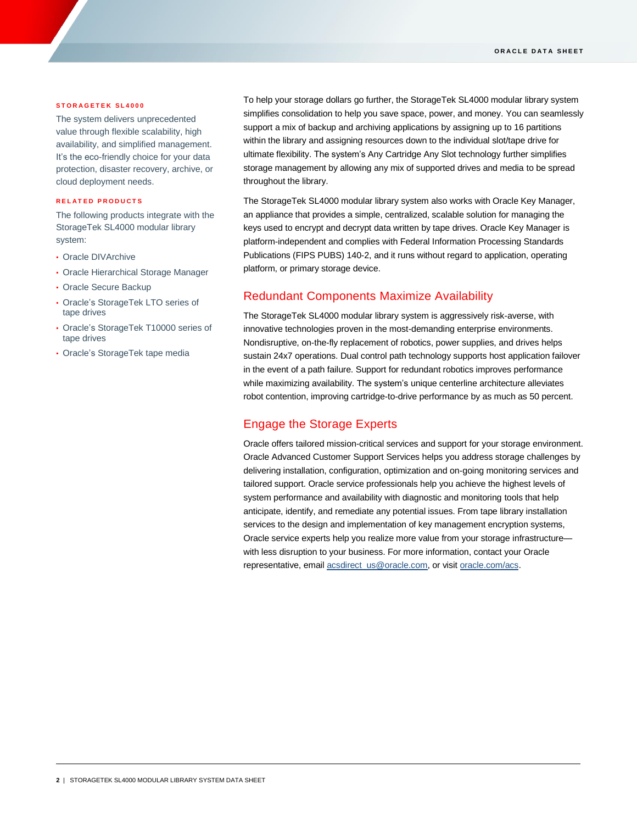### **S T O R A G E T E K S L 4 0 0 0**

The system delivers unprecedented value through flexible scalability, high availability, and simplified management. It's the eco-friendly choice for your data protection, disaster recovery, archive, or cloud deployment needs.

### **R E L A T E D P R O D U C T S**

The following products integrate with the StorageTek SL4000 modular library system:

- Oracle DIVArchive
- Oracle Hierarchical Storage Manager
- Oracle Secure Backup
- Oracle's StorageTek LTO series of tape drives
- Oracle's StorageTek T10000 series of tape drives
- Oracle's StorageTek tape media

To help your storage dollars go further, the StorageTek SL4000 modular library system simplifies consolidation to help you save space, power, and money. You can seamlessly support a mix of backup and archiving applications by assigning up to 16 partitions within the library and assigning resources down to the individual slot/tape drive for ultimate flexibility. The system's Any Cartridge Any Slot technology further simplifies storage management by allowing any mix of supported drives and media to be spread throughout the library.

The StorageTek SL4000 modular library system also works with Oracle Key Manager, an appliance that provides a simple, centralized, scalable solution for managing the keys used to encrypt and decrypt data written by tape drives. Oracle Key Manager is platform-independent and complies with Federal Information Processing Standards Publications (FIPS PUBS) 140-2, and it runs without regard to application, operating platform, or primary storage device.

### Redundant Components Maximize Availability

The StorageTek SL4000 modular library system is aggressively risk-averse, with innovative technologies proven in the most-demanding enterprise environments. Nondisruptive, on-the-fly replacement of robotics, power supplies, and drives helps sustain 24x7 operations. Dual control path technology supports host application failover in the event of a path failure. Support for redundant robotics improves performance while maximizing availability. The system's unique centerline architecture alleviates robot contention, improving cartridge-to-drive performance by as much as 50 percent.

### Engage the Storage Experts

Oracle offers tailored mission-critical services and support for your storage environment. Oracle Advanced Customer Support Services helps you address storage challenges by delivering installation, configuration, optimization and on-going monitoring services and tailored support. Oracle service professionals help you achieve the highest levels of system performance and availability with diagnostic and monitoring tools that help anticipate, identify, and remediate any potential issues. From tape library installation services to the design and implementation of key management encryption systems, Oracle service experts help you realize more value from your storage infrastructure with less disruption to your business. For more information, contact your Oracle representative, email [acsdirect\\_us@oracle.com,](mailto:acsdirect_us@oracle.com) or visit [oracle.com/acs.](https://www.oracle.com/support/advanced-customer-support/index.html)